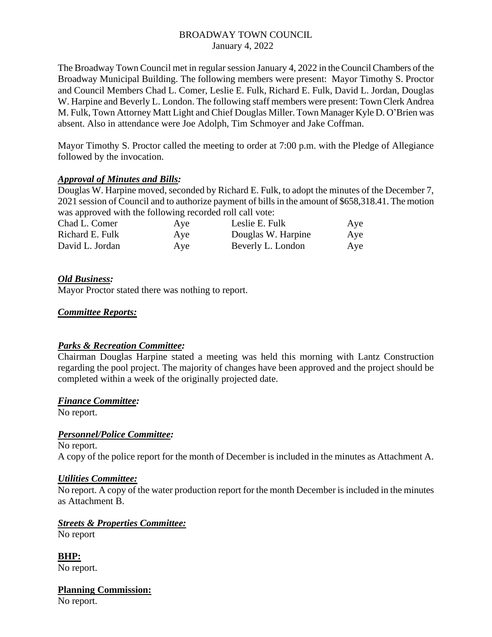# BROADWAY TOWN COUNCIL January 4, 2022

The Broadway Town Council met in regular session January 4, 2022 in the Council Chambers of the Broadway Municipal Building. The following members were present: Mayor Timothy S. Proctor and Council Members Chad L. Comer, Leslie E. Fulk, Richard E. Fulk, David L. Jordan, Douglas W. Harpine and Beverly L. London. The following staff members were present: Town Clerk Andrea M. Fulk, Town Attorney Matt Light and Chief Douglas Miller. Town Manager Kyle D. O'Brien was absent. Also in attendance were Joe Adolph, Tim Schmoyer and Jake Coffman.

Mayor Timothy S. Proctor called the meeting to order at 7:00 p.m. with the Pledge of Allegiance followed by the invocation.

# *Approval of Minutes and Bills:*

Douglas W. Harpine moved, seconded by Richard E. Fulk, to adopt the minutes of the December 7, 2021 session of Council and to authorize payment of bills in the amount of \$658,318.41. The motion was approved with the following recorded roll call vote:

| Chad L. Comer   | Aye | Leslie E. Fulk     | Aye |
|-----------------|-----|--------------------|-----|
| Richard E. Fulk | Aye | Douglas W. Harpine | Aye |
| David L. Jordan | Aye | Beverly L. London  | Aye |

# *Old Business:*

Mayor Proctor stated there was nothing to report.

# *Committee Reports:*

# *Parks & Recreation Committee:*

Chairman Douglas Harpine stated a meeting was held this morning with Lantz Construction regarding the pool project. The majority of changes have been approved and the project should be completed within a week of the originally projected date.

#### *Finance Committee:*

No report.

# *Personnel/Police Committee:*

No report. A copy of the police report for the month of December is included in the minutes as Attachment A.

#### *Utilities Committee:*

No report. A copy of the water production report for the month December is included in the minutes as Attachment B.

*Streets & Properties Committee:* No report

**BHP:** No report.

**Planning Commission:**  No report.